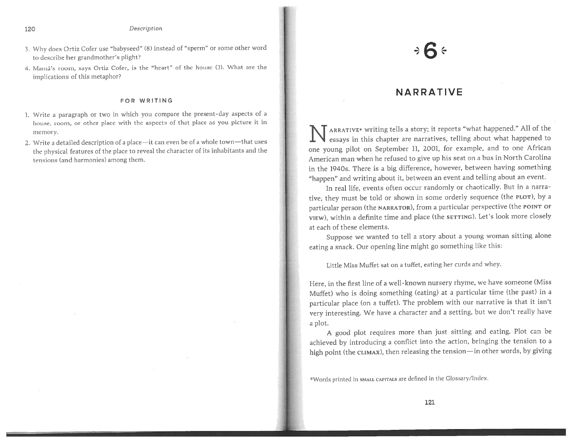- 120 Description
- 3. Why does Ortiz Cofer use "babyseed" (8) instead of "sperm" or some other word to describe her grandmother's <sup>p</sup>light?
- 4. Mama's room, says Ortiz Cofer, is the "heart" of the house (3). What are the implications of this metaphor?

### FOR WRITING

- 1. Write <sup>a</sup> paragrap<sup>h</sup> or two in which you compare the present-day aspects of <sup>a</sup> house, room, or other <sup>p</sup>lace with the aspects of that <sup>p</sup>lace as you <sup>p</sup>icture it in memory.
- 2. Write <sup>a</sup> detailed description of <sup>a</sup> <sup>p</sup>lace—it can even be of <sup>a</sup> whole town—that uses the <sup>p</sup>hysical features of the <sup>p</sup>lace to reveal the character of its inhabitants and the tensions (and harmonies) among them.

# Freq

### NARRATIVE

NARRATIVE writing tells <sup>a</sup> story; it reports "what happened." All of the essays in this chapter are narratives, telling about what happened to one young <sup>p</sup>ilot on September 11, 2001, for example, and to one African American man when he refused to <sup>g</sup>ive up his seat on <sup>a</sup> bus in North Carolina in the 1940s. There is <sup>a</sup> big difference, however, between having something "happen" and writing about it, between an event and telling about an event.

In real life, events often occur randomly or chaotically. But in <sup>a</sup> narra tive, they must be told or shown in some orderly sequence (the PLOT), by a particular person (the NARRATOR), from <sup>a</sup> particular perspective (the POINT OF VIEW), within <sup>a</sup> definite time and <sup>p</sup>lace (the SETTING). Let's look more closely at each of these elements.

Suppose we wanted to tell <sup>a</sup> story about <sup>a</sup> young woman sitting alone eating <sup>a</sup> snack. Our opening line might go something like this:

Little Miss Muffet sat on <sup>a</sup> tuftet, eating her curds and whey.

Here, in the first line of <sup>a</sup> well-known nursery rhyme, we have someone (Miss Muffet) who is doing something (eating) at <sup>a</sup> particular time (the past) in <sup>a</sup> particular <sup>p</sup>lace (on <sup>a</sup> tuffet). The problem with our narrative is that it isn't very interesting. We have <sup>a</sup> character and <sup>a</sup> setting, but we don't really have <sup>a</sup> plot.

<sup>A</sup> goo<sup>d</sup> <sup>p</sup>lot requires more than just sitting and eating. Plot can be achieved by introducing <sup>a</sup> conflict into the action, bringing the tension to <sup>a</sup> high point (the cLIMAx), then releasing the tension—in other words, by <sup>g</sup>iving

\*Words printed in SMALL CAPITALS are defined in the Glossary/Index.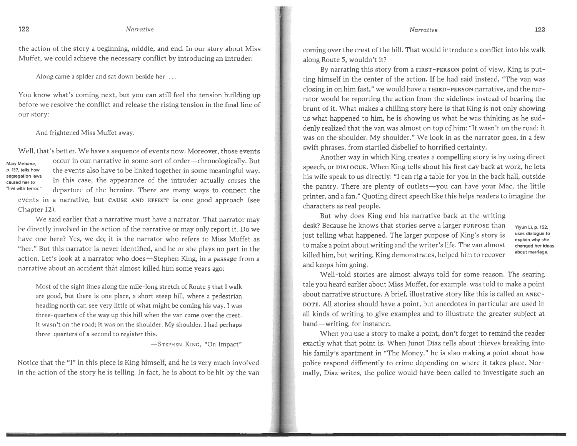122 Narrative Narrative 123

the action of the story <sup>a</sup> beginning, middle, and end. In our story about Miss Muffet, we could achieve the necessary conflict by introducing an intruder:

Along came a spider and sat down beside her ...

You know what's coming next, but you can still feel the tension building up before we resolve the conflict and release the rising tension in the final line of our story:

And frightened Miss Muffet away.

Well, that's better. We have a sequence of events now. Moreover, those events Mary Mebane. occur in our narrative in some sort of order—chronologically. But p. 157, tells how the events also have to be linked together in some meaningful way. segregation laws caused her to In this case, the appearance of the intruder actually causes the "live with terror." departure of the heroine. There are many ways to connect the events in <sup>a</sup> narrative, but CAUSE AND EFFECT is one good approach (see Chapter 12).

We said earlier that <sup>a</sup> narrative must have <sup>a</sup> narrator. That narrator may be directly involved in the action of the narrative or may only repor<sup>t</sup> it. Do we have one here? Yes, we do; it is the narrator who refers to Miss Muffet as "her." But this narrator is never identified, and he or she plays no par<sup>t</sup> in the action. Let's look at <sup>a</sup> narrator who does—Stephen King, in <sup>a</sup> passage from <sup>a</sup> narrative about an accident that almost killed him some years ago:

Most of the sight lines along the mile-long stretch of Route <sup>5</sup> that I walk are good, but there is one place, <sup>a</sup> short steep hill, where <sup>a</sup> pedestrian heading north can see very little of what might be coming his way. <sup>I</sup> was three-quarters of the way up this hill when the van came over the crest. It wasn't on the road; it was on the shoulder. My shoulder. <sup>I</sup> had perhaps three-quarters of <sup>a</sup> second to register this.

—SrErHiN KING, "On Impact"

Notice that the "I" in this piece is King himself, and he is very much involved in the action of the story he is telling. In fact, he is about to be hit by the van coming over the crest of the hill. That would introduce <sup>a</sup> conflict into his walk along Route 5, wouldn't it?

By narrating this story from a FIRST-PERSON point of view, King is putting himself in the center of the action. If he had said instead, "The van was closing in on him fast," we would have <sup>a</sup> THIRD-PERSON narrative, and the nar rator would be reporting the action from the sidelines instead of bearing the brunt of it. What makes <sup>a</sup> chilling story here is that King is not only showing us what happened to him, he is showing us what he was thinking as he sud denly realized that the van was almost on top of him: "It wasn't on the road; it was on the shoulder. My shoulder." We look in as the narrator goes, in <sup>a</sup> few swift phrases, from startled disbelief to horrified certainty.

Another way in which King creates <sup>a</sup> compelling story is by using direct speech, or DIALOGUE. When King tells about his first day hack at work, he lets his wife speak to us directly: "I can rig <sup>a</sup> table for you in the back hall, outside the pantry. There are plenty of outlets—you can have your Mac, the little printer, and <sup>a</sup> fan." Quoting direct speech like this helps readers to imagine the characters as real people.

But why does King end his narrative back at the writing desk? Because he knows that stories serve a larger PURPOSE than Yiyun Li, p. 152, just telling what happened. The larger purpose of King's story is uses dialogue to to make a point about writing and the writer's life. The van almost changed her ideas killed him, but writing, King demonstrates, helped him to recover about marriage. and keeps him going.

Well-told stories are almost always told for some reason. The searing tale you heard earlier about Miss Muffet, for example, was told to make <sup>a</sup> point about narrative structure. A brief, illustrative story like this is called an <code>ANEC-</code> DOTE. All stories should have <sup>a</sup> point, but anecdotes in particular are used in all kinds of writing to give examples and to illustrate the greater subject at hand—writing, for instance.

When you use <sup>a</sup> story to make <sup>a</sup> point, don't forget to remind the reader exactly what that point is. When Junot Diaz tells about thieves breaking into his family's apartment in "The Money," he is also making <sup>a</sup> point about how police respond differently to crime depending on where it takes place. Nor mally, Diaz writes, the police would have been called to investigate such an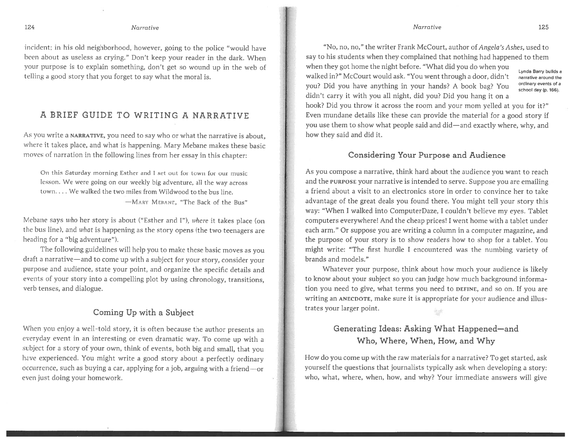incident; in his old neighborhood, however, going to the police "would have been about as useless as crying." Don't keep your reader in the dark. When your purpose is to explain something, don't ge<sup>t</sup> so wound up in the web of telling <sup>a</sup> goo<sup>d</sup> story that you forget to say what the moral is.

### A BRIEF GUIDE TO WRITING A NARRATIVE

As von write <sup>a</sup> NARRATIVE, you need to say who or what the narrative is about, where it takes <sup>p</sup>lace, and what is happening. Mary Mebane makes these basic moves of narration in the following lines from her essay in this chapter:

On this Saturday morning Esther and <sup>I</sup> set out for town for our music lesson. We were going on our weekly big adventure, all the way across town. . . . We walked the two miles from Wildwood to the bus line. -MARY MEBANE, "The Back of the Bus"

Mebane says who her story is about ("Esther and I"), where it takes place (on the bus line), and what is happening as the story opens (the two teenagers are beading for <sup>a</sup> "big adventure").

The following guidelines will help you to make these basic moves as you draft <sup>a</sup> narrative—and to come up with <sup>a</sup> subject for your story, consider your purpose and audience, state your point, and organize the specific details and events of your story into <sup>a</sup> compelling <sup>p</sup>lot by using chronology, transitions, verb tenses, and dialogue.

### Coming Up with <sup>a</sup> Subject

When you enjoy <sup>a</sup> well-told story, it is often because the author presents an everyday event in an interesting or even dramatic way. To come up with <sup>a</sup> subject for <sup>a</sup> story of your own, think of events, both big and small, that you have experienced. You might write <sup>a</sup> goo<sup>d</sup> story about <sup>a</sup> perfectly ordinary occurrence, such as buying <sup>a</sup> car, applying for <sup>a</sup> job, arguing with <sup>a</sup> friend—or even just doing your homework.

"No, no, no," the writer Frank McCourt, author of Angela's Ashes, used to say to his students when they complained that nothing had happened to them

when they got home the night before. "What did you do when you<br>walked in?" McCourt would ask. "You went through a door, didn't narrative around the<br>you? Did you have anything in your hande? A healt head You ordinary events you? Did you have anything in your hands? A book bag? You ordinary events of a didn't carry it with you all night, did you? Did you hang it on <sup>a</sup>

hook? Did you throw it across the room and your mom yelled at you for it?" Even mundane details like these can provide the material for <sup>a</sup> good story if you use them to show what people said and did—and exactly where, why, and how they said and did it.

### Considering Your Purpose and Audience

As you compose <sup>a</sup> narrative, think hard about the audience you want to reach and the PURPOSE your narrative is intended to serve. Suppose you are emailing <sup>a</sup> friend about <sup>a</sup> visit to an electronics store in order to convince her to take advantage of the grea<sup>t</sup> deals you found there. You might tell your story this way: "When <sup>I</sup> walked into ComputerDaze, <sup>I</sup> couldn't believe my eyes. Tablet computers everywhere! And the cheap prices! I went home with <sup>a</sup> tablet under each arm." Or suppose you are writing <sup>a</sup> column in <sup>a</sup> computer magazine, and the purpose of your story is to show readers how to shop for <sup>a</sup> tablet. You might write: "The first hurdle I encountered was the numbing variety of brands and models."

Whatever your purpose, think about how much your audience is likely to know about your subject so you can judge how much background informa tion you need to give, what terms you need to DEFINE, and so on. If you are writing an ANECDOTE, make sure it is appropriate for your audience and illus trates your larger point.

# Generating Ideas: Asking What Happened—and Who, Where, When, How, and Why

How do you come up with the raw materials for <sup>a</sup> narrative? To ge<sup>t</sup> started, ask yourself the questions that journalists typically ask when developing <sup>a</sup> story: who, what, where, when, how, and why? Your immediate answers will <sup>g</sup>ive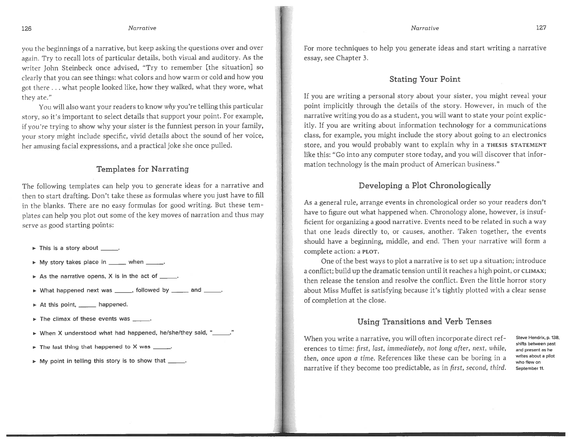you the beginnings of <sup>a</sup> narrative, but keep asking the questions over and over again. Try to recall lots of particular details, both visual and auditory. As the writer John Steinbeck once advised, "Try to remember [the situation] so clearly that you can see things: what colors and how warm or cold and how you go<sup>t</sup> there . . . what people looked like, how they walked, what they wore, what they ate." ne beginnings of a narrati<br>
Try to recall lots of part<br>
John Steinbeck once a<br>
y that you can see things:<br>
ere ... what people looke<br>
te."<br>
You will also want your re<br>
so it's important to selee<br>
're trying to show why ye<br> Marrative<br>
Revention and the narrative of the narrative of the narrative of the John Steinbeck once advised, "Try to republe the network of the act of the act of the set of the act of the act of the act of the act of You w Marrative<br>
Reginnings of a narrative, but keep asking the questions<br>
Try to recall lots of particular details, both visual and au<br>
John Steinbeck once advised, "Try to remember [the<br>
that you can see things: what colors an Marrative, but kettakes are the positions of a narrative, but kettakes are things: what colore ... what people looked like, hove ... what people looked like, hove ... what people looked like, hove ... what people looked li Marrative<br>
We beginnings of a narrative, but keep asking the questions ov<br>
Try to recall lots of particular details, both visual and audit<br>
John Steinbeck once alveised, "Try to remember [the sit<br>
of that you can see thing Marrative<br>
Narrative<br>
Try to recall lots of particular details, bo<br>
John Steinbeck once advised, "Try to<br>
that you can see things: what clors and<br>
ere ...what people looked like, how they<br>
te."<br>
You will also want your rea

You will also want your readers to know why you're telling this particular story, so it's important to select details that suppor<sup>t</sup> your point. For example, if you're trying to show why your sister is the funniest person in your family, your story might include specific, vivid details about the sound of her voice, her amusing facial expressions, and <sup>a</sup> practical joke she once pulled.

### Templates for Narrating

The following templates can help you to generate ideas for <sup>a</sup> narrative and then to start drafting. Don't take these as formulas where you just have to fill in the blanks. There are no easy formulas for good writing. But these tem <sup>p</sup>lates can help you <sup>p</sup>lot out some of the key moves of narration and thus may serve as good starting points:

- 
- $\triangleright$  My story takes place in  $\perp$  when  $\perp$ .
- 
- 
- 
- 
- 
- 
- 

For more techniques to help you generate ideas and start writing <sup>a</sup> narrative essay, see Chapter 3.

Newton a<br>
Newton and the station over and over<br>
Try to recell lets of particular details, both visual and antitory. As the<br>
Try to recell lets of particular details, both visual and antitory. As the<br>
lets are the stationa Fry retend loss of particular details, both risin and and the particular contribution of the matricular contribution of the contribution of the contribution of the contribution of the contribution of the contribution of t

narrative if they become too predictable, as in first, second, third.

5teve Hendrix, p. 138, shifts between pas<sup>t</sup> and presen<sup>t</sup> as he writes about <sup>a</sup> pilot who flew on September 11.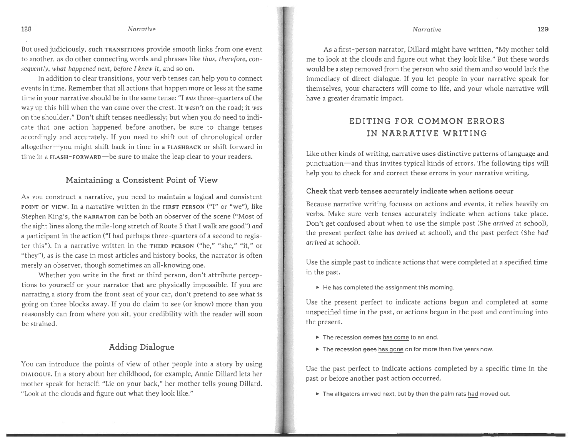But used judiciously, such TRANSITIONS provide smooth links from one event to another, as do other connecting words and phrases like thus, therefore, con sequently, what happened next, before I knew it, and so on.

In addition to clear transitions, your verb tenses can help you to connect events in time. Remember that all actions that happen more or less at the same time in your narrative should be in the same tense: "I was three-quarters of the way up this hill when the van came over the crest. It wasn't on the road; it was on the shoulder." Don't shift tenses needlessly; but when you do need to indi cate that one action happened before another, be sure to change tenses accordingly and accurately. If you need to shift out of chronological order altogether—you might shift back in time in <sup>a</sup> FLASHBACK or shift forward in time in a FLASH-FORWARD—be sure to make the leap clear to your readers.

### Maintaining <sup>a</sup> Consistent Point of View

As you construct <sup>a</sup> narrative, you need to maintain <sup>a</sup> logical and consistent POINT OF VIEW. In <sup>a</sup> narrative written in the FIRST PERSON ("I" or "we"), like Stephen King's, the NARRATOR can be both an observer of the scene ("Most of the sight lines along the mile-long stretch of Route 5 that <sup>I</sup> walk are good") and <sup>a</sup> participant in the action ("I had perhaps three-quarters of <sup>a</sup> second to regis ter this"). In <sup>a</sup> narrative written in the THIRD PERSON ("he," "she," "it," or "they'), as is the case in most articles and history books, the narrator is often merely an observer, though sometimes an all-knowing one.

Whether you write in the first or third person, don't attribute percep tions to yourself or your narrator that are physically impossible. If you are narrating a story from the front seat of your car, don't pretend to see what is going on three blocks away. If you do claim to see (or know) more than you reasonably can from where you sit, your credibility with the reader will soon be strained.

### Adding Dialogue

You can introduce the points of view of other people into <sup>a</sup> story by using DIALOGUE. In <sup>a</sup> story about her childhood, for example, Annie Dillard lets her mother speak for herself: "Lie on your back," her mother tells young Dillard. "Look at the clouds and figure out what they look like."

As <sup>a</sup> first-person narrator, Dillard might have written, "My mother told me to look at the clouds and figure out what they look like." But these words would be <sup>a</sup> step removed from the person who said them and so would lack the immediacy of direct dialogue. If you let people in your narrative speak for themselves, your characters will come to life, and your whole narrative will have <sup>a</sup> greater dramatic impact.

# EDITING FOR COMMON ERRORS IN NARRATIVE WRITING

Like other kinds of writing, narrative uses distinctive patterns of language and punctuation—and thus invites typical kinds of errors. The following tips will help you to check for and correct these errors in your narrative writing.

### Check that verb tenses accurately indicate when actions occur

Because narrative writing focuses on actions and events, it relies heavily on verbs. Make sure verb tenses accurately indicate when actions take place. Don't ge<sup>t</sup> confused about when to use the simple pas<sup>t</sup> (She arrived at school), the presen<sup>t</sup> perfect (She has arrived at school), and the pas<sup>t</sup> perfect (She had arrived at school).

Use the simple pas<sup>t</sup> to indicate actions that were completed at <sup>a</sup> specified time in the past.

 $\blacktriangleright$  He has completed the assignment this morning.

Use the presen<sup>t</sup> perfect to indicate actions begun and completed at some unspecified time in the past, or actions begun in the pas<sup>t</sup> and continuing into the present.

- The recession comes has come to an end.
- $\blacktriangleright$  The recession goes has gone on for more than five years now.

Use the pas<sup>t</sup> perfect to indicate actions completed by <sup>a</sup> specific time in the pas<sup>t</sup> or before another pas<sup>t</sup> action occurred.

 $\blacktriangleright$  The alligators arrived next, but by then the palm rats had moved out.